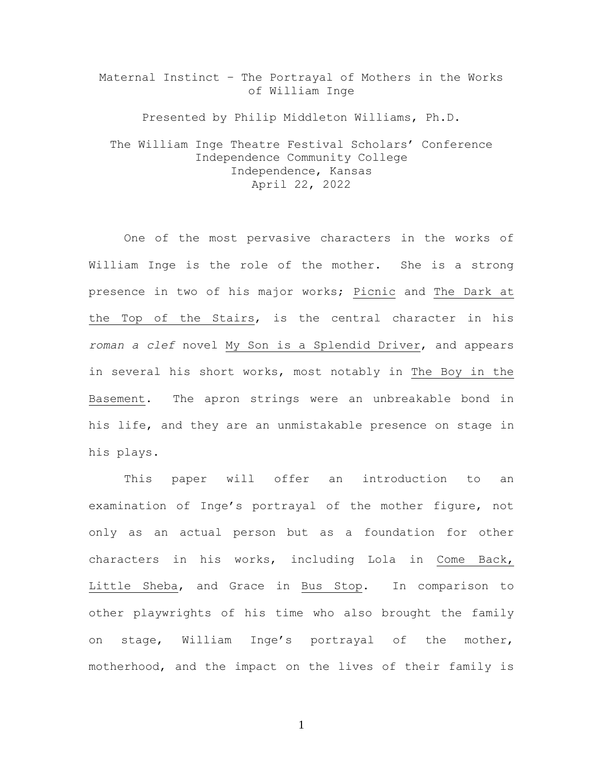Maternal Instinct – The Portrayal of Mothers in the Works of William Inge

Presented by Philip Middleton Williams, Ph.D. The William Inge Theatre Festival Scholars' Conference Independence Community College Independence, Kansas April 22, 2022

One of the most pervasive characters in the works of William Inge is the role of the mother. She is a strong presence in two of his major works; Picnic and The Dark at the Top of the Stairs, is the central character in his *roman a clef* novel My Son is a Splendid Driver, and appears in several his short works, most notably in The Boy in the Basement. The apron strings were an unbreakable bond in his life, and they are an unmistakable presence on stage in his plays.

This paper will offer an introduction to an examination of Inge's portrayal of the mother figure, not only as an actual person but as a foundation for other characters in his works, including Lola in Come Back, Little Sheba, and Grace in Bus Stop. In comparison to other playwrights of his time who also brought the family on stage, William Inge's portrayal of the mother, motherhood, and the impact on the lives of their family is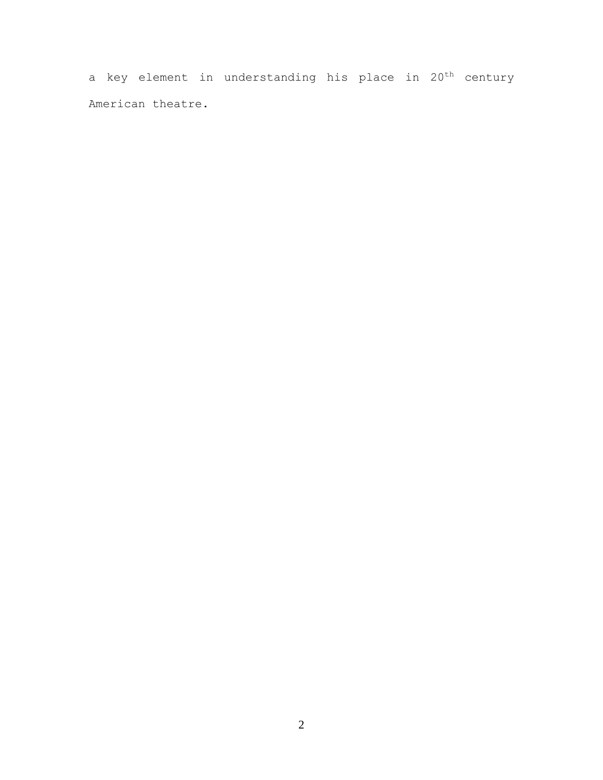a key element in understanding his place in 20<sup>th</sup> century American theatre.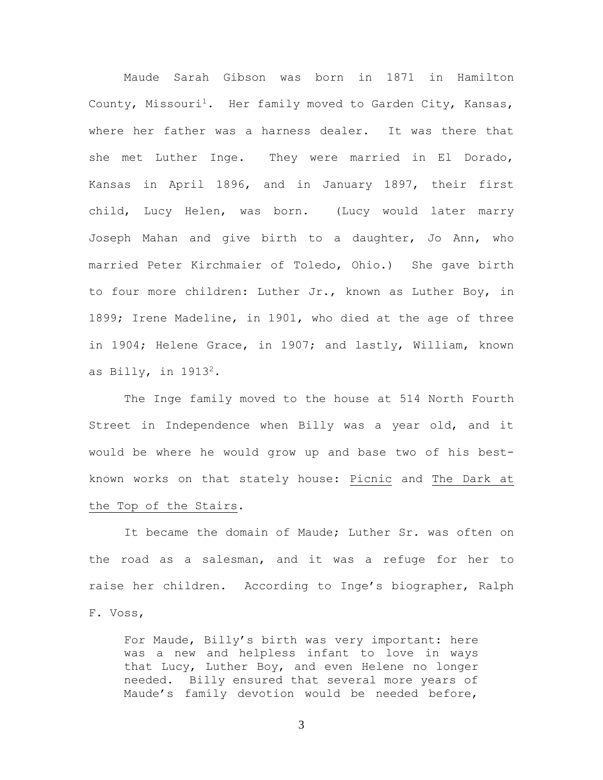Maude Sarah Gibson was born in 1871 in Hamilton County, Missouri<sup>1</sup>. Her family moved to Garden City, Kansas, where her father was a harness dealer. It was there that she met Luther Inge. They were married in El Dorado, Kansas in April 1896, and in January 1897, their first child, Lucy Helen, was born. (Lucy would later marry Joseph Mahan and give birth to a daughter, Jo Ann, who married Peter Kirchmaier of Toledo, Ohio.) She gave birth to four more children: Luther Jr., known as Luther Boy, in 1899; Irene Madeline, in 1901, who died at the age of three in 1904; Helene Grace, in 1907; and lastly, William, known as Billy, in  $1913^2$ .

The Inge family moved to the house at 514 North Fourth Street in Independence when Billy was a year old, and it would be where he would grow up and base two of his bestknown works on that stately house: Picnic and The Dark at the Top of the Stairs.

It became the domain of Maude; Luther Sr. was often on the road as a salesman, and it was a refuge for her to raise her children. According to Inge's biographer, Ralph F. Voss,

For Maude, Billy's birth was very important: here was a new and helpless infant to love in ways that Lucy, Luther Boy, and even Helene no longer needed. Billy ensured that several more years of Maude's family devotion would be needed before,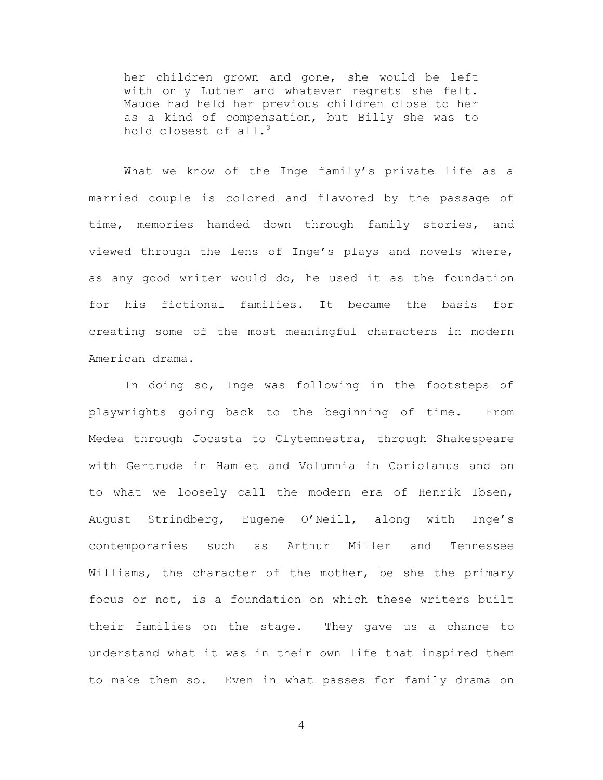her children grown and gone, she would be left with only Luther and whatever regrets she felt. Maude had held her previous children close to her as a kind of compensation, but Billy she was to hold closest of all.<sup>3</sup>

What we know of the Inge family's private life as a married couple is colored and flavored by the passage of time, memories handed down through family stories, and viewed through the lens of Inge's plays and novels where, as any good writer would do, he used it as the foundation for his fictional families. It became the basis for creating some of the most meaningful characters in modern American drama.

In doing so, Inge was following in the footsteps of playwrights going back to the beginning of time. From Medea through Jocasta to Clytemnestra, through Shakespeare with Gertrude in Hamlet and Volumnia in Coriolanus and on to what we loosely call the modern era of Henrik Ibsen, August Strindberg, Eugene O'Neill, along with Inge's contemporaries such as Arthur Miller and Tennessee Williams, the character of the mother, be she the primary focus or not, is a foundation on which these writers built their families on the stage. They gave us a chance to understand what it was in their own life that inspired them to make them so. Even in what passes for family drama on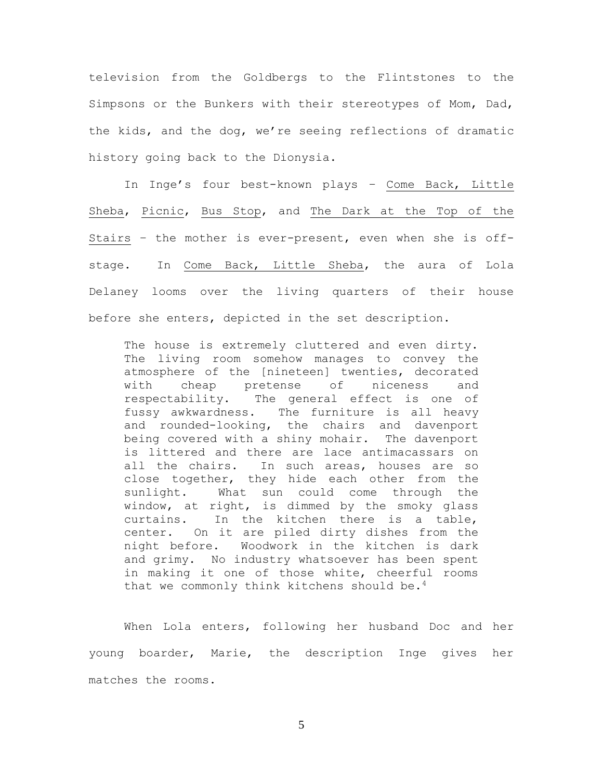television from the Goldbergs to the Flintstones to the Simpsons or the Bunkers with their stereotypes of Mom, Dad, the kids, and the dog, we're seeing reflections of dramatic history going back to the Dionysia.

In Inge's four best-known plays – Come Back, Little Sheba, Picnic, Bus Stop, and The Dark at the Top of the Stairs – the mother is ever-present, even when she is offstage. In Come Back, Little Sheba, the aura of Lola Delaney looms over the living quarters of their house before she enters, depicted in the set description.

The house is extremely cluttered and even dirty. The living room somehow manages to convey the atmosphere of the [nineteen] twenties, decorated with cheap pretense of niceness and respectability. The general effect is one of fussy awkwardness. The furniture is all heavy and rounded-looking, the chairs and davenport being covered with a shiny mohair. The davenport is littered and there are lace antimacassars on all the chairs. In such areas, houses are so close together, they hide each other from the sunlight. What sun could come through the window, at right, is dimmed by the smoky glass curtains. In the kitchen there is a table, center. On it are piled dirty dishes from the night before. Woodwork in the kitchen is dark and grimy. No industry whatsoever has been spent in making it one of those white, cheerful rooms that we commonly think kitchens should be.<sup>4</sup>

When Lola enters, following her husband Doc and her young boarder, Marie, the description Inge gives her matches the rooms.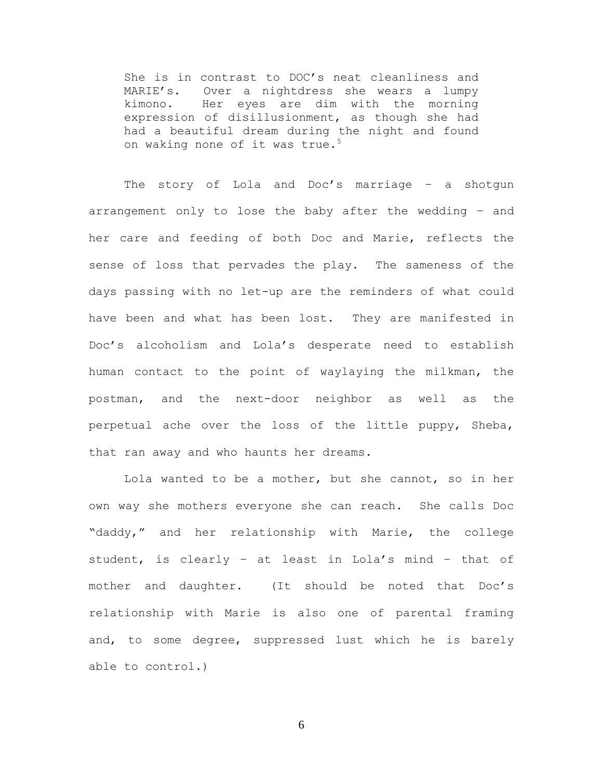She is in contrast to DOC's neat cleanliness and MARIE's. Over a nightdress she wears a lumpy kimono. Her eyes are dim with the morning expression of disillusionment, as though she had had a beautiful dream during the night and found on waking none of it was true.<sup>5</sup>

The story of Lola and Doc's marriage - a shotgun arrangement only to lose the baby after the wedding – and her care and feeding of both Doc and Marie, reflects the sense of loss that pervades the play. The sameness of the days passing with no let-up are the reminders of what could have been and what has been lost. They are manifested in Doc's alcoholism and Lola's desperate need to establish human contact to the point of waylaying the milkman, the postman, and the next-door neighbor as well as the perpetual ache over the loss of the little puppy, Sheba, that ran away and who haunts her dreams.

Lola wanted to be a mother, but she cannot, so in her own way she mothers everyone she can reach. She calls Doc "daddy," and her relationship with Marie, the college student, is clearly – at least in Lola's mind – that of mother and daughter. (It should be noted that Doc's relationship with Marie is also one of parental framing and, to some degree, suppressed lust which he is barely able to control.)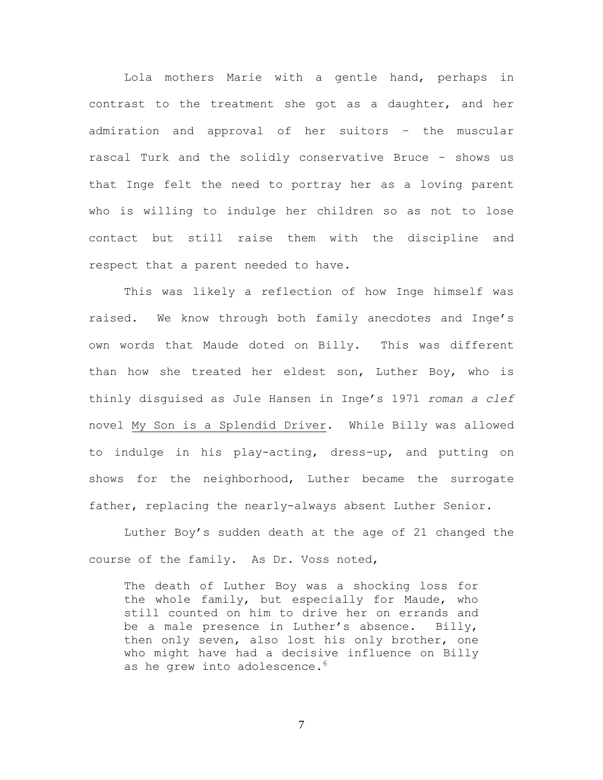Lola mothers Marie with a gentle hand, perhaps in contrast to the treatment she got as a daughter, and her admiration and approval of her suitors – the muscular rascal Turk and the solidly conservative Bruce – shows us that Inge felt the need to portray her as a loving parent who is willing to indulge her children so as not to lose contact but still raise them with the discipline and respect that a parent needed to have.

This was likely a reflection of how Inge himself was raised. We know through both family anecdotes and Inge's own words that Maude doted on Billy. This was different than how she treated her eldest son, Luther Boy, who is thinly disguised as Jule Hansen in Inge's 1971 *roman a clef* novel My Son is a Splendid Driver. While Billy was allowed to indulge in his play-acting, dress-up, and putting on shows for the neighborhood, Luther became the surrogate father, replacing the nearly-always absent Luther Senior.

Luther Boy's sudden death at the age of 21 changed the course of the family. As Dr. Voss noted,

The death of Luther Boy was a shocking loss for the whole family, but especially for Maude, who still counted on him to drive her on errands and be a male presence in Luther's absence. Billy, then only seven, also lost his only brother, one who might have had a decisive influence on Billy as he grew into adolescence.<sup>6</sup>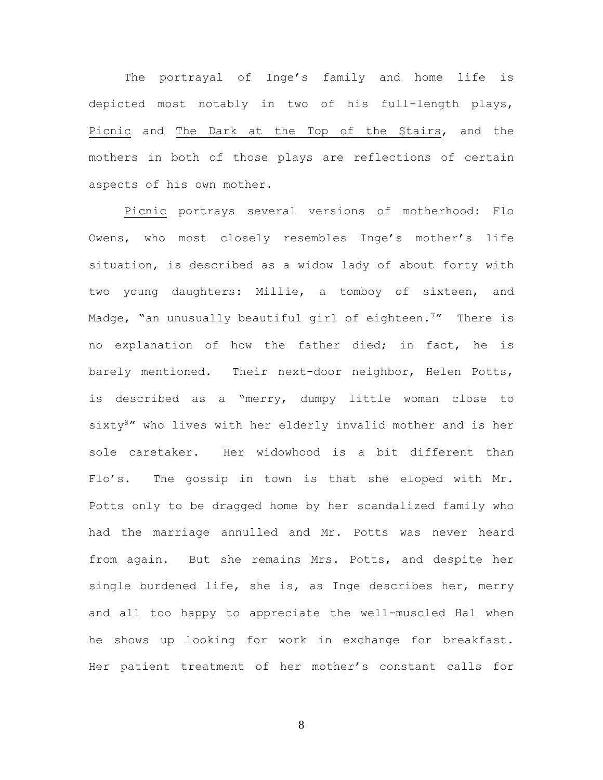The portrayal of Inge's family and home life is depicted most notably in two of his full-length plays, Picnic and The Dark at the Top of the Stairs, and the mothers in both of those plays are reflections of certain aspects of his own mother.

Picnic portrays several versions of motherhood: Flo Owens, who most closely resembles Inge's mother's life situation, is described as a widow lady of about forty with two young daughters: Millie, a tomboy of sixteen, and Madge, "an unusually beautiful girl of eighteen.<sup>7</sup>" There is no explanation of how the father died; in fact, he is barely mentioned. Their next-door neighbor, Helen Potts, is described as a "merry, dumpy little woman close to sixty<sup>8</sup>" who lives with her elderly invalid mother and is her sole caretaker. Her widowhood is a bit different than Flo's. The gossip in town is that she eloped with Mr. Potts only to be dragged home by her scandalized family who had the marriage annulled and Mr. Potts was never heard from again. But she remains Mrs. Potts, and despite her single burdened life, she is, as Inge describes her, merry and all too happy to appreciate the well-muscled Hal when he shows up looking for work in exchange for breakfast. Her patient treatment of her mother's constant calls for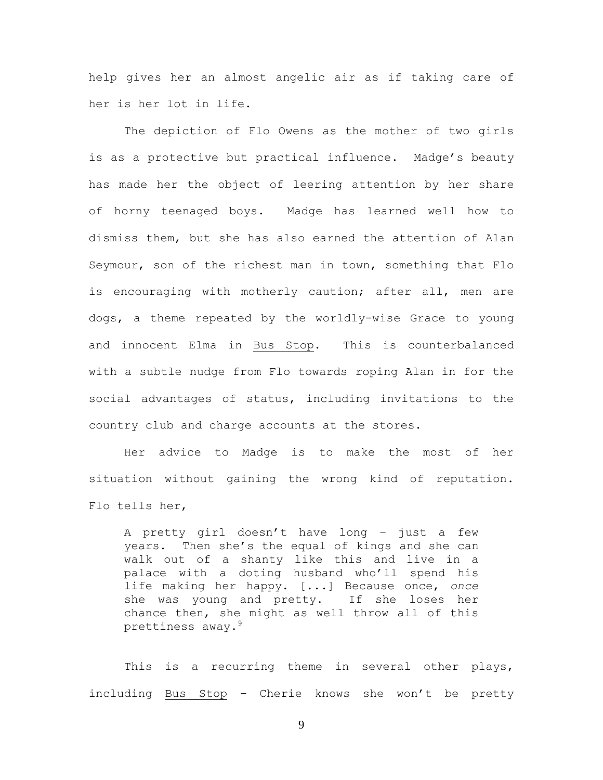help gives her an almost angelic air as if taking care of her is her lot in life.

The depiction of Flo Owens as the mother of two girls is as a protective but practical influence. Madge's beauty has made her the object of leering attention by her share of horny teenaged boys. Madge has learned well how to dismiss them, but she has also earned the attention of Alan Seymour, son of the richest man in town, something that Flo is encouraging with motherly caution; after all, men are dogs, a theme repeated by the worldly-wise Grace to young and innocent Elma in Bus Stop. This is counterbalanced with a subtle nudge from Flo towards roping Alan in for the social advantages of status, including invitations to the country club and charge accounts at the stores.

Her advice to Madge is to make the most of her situation without gaining the wrong kind of reputation. Flo tells her,

A pretty girl doesn't have long – just a few years. Then she's the equal of kings and she can walk out of a shanty like this and live in a palace with a doting husband who'll spend his life making her happy. [...] Because once, *once* she was young and pretty. If she loses her chance then, she might as well throw all of this prettiness away.<sup>9</sup>

This is a recurring theme in several other plays, including Bus Stop – Cherie knows she won't be pretty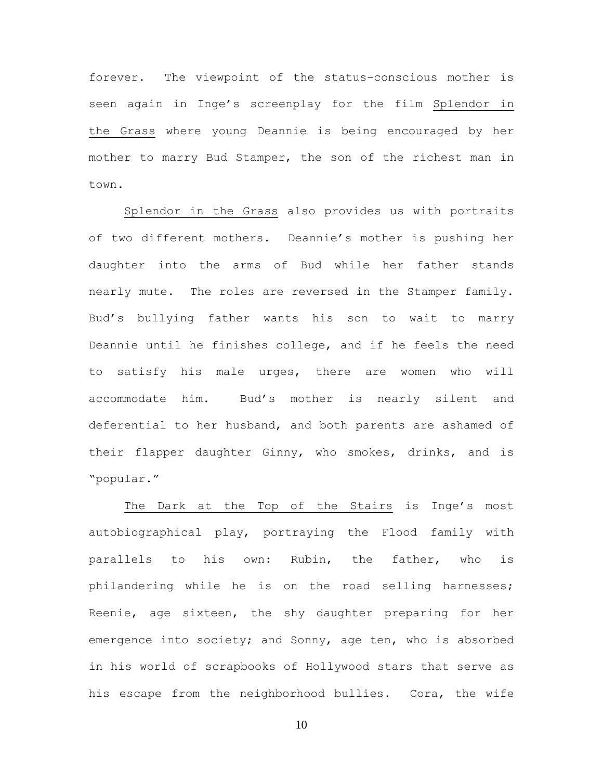forever. The viewpoint of the status-conscious mother is seen again in Inge's screenplay for the film Splendor in the Grass where young Deannie is being encouraged by her mother to marry Bud Stamper, the son of the richest man in town.

Splendor in the Grass also provides us with portraits of two different mothers. Deannie's mother is pushing her daughter into the arms of Bud while her father stands nearly mute. The roles are reversed in the Stamper family. Bud's bullying father wants his son to wait to marry Deannie until he finishes college, and if he feels the need to satisfy his male urges, there are women who will accommodate him. Bud's mother is nearly silent and deferential to her husband, and both parents are ashamed of their flapper daughter Ginny, who smokes, drinks, and is "popular."

The Dark at the Top of the Stairs is Inge's most autobiographical play, portraying the Flood family with parallels to his own: Rubin, the father, who is philandering while he is on the road selling harnesses; Reenie, age sixteen, the shy daughter preparing for her emergence into society; and Sonny, age ten, who is absorbed in his world of scrapbooks of Hollywood stars that serve as his escape from the neighborhood bullies. Cora, the wife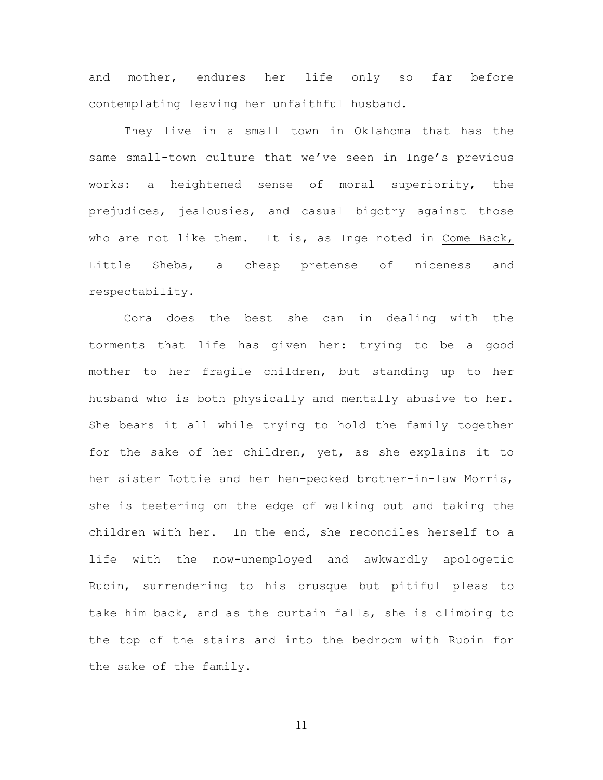and mother, endures her life only so far before contemplating leaving her unfaithful husband.

They live in a small town in Oklahoma that has the same small-town culture that we've seen in Inge's previous works: a heightened sense of moral superiority, the prejudices, jealousies, and casual bigotry against those who are not like them. It is, as Inge noted in Come Back, Little Sheba, a cheap pretense of niceness and respectability.

Cora does the best she can in dealing with the torments that life has given her: trying to be a good mother to her fragile children, but standing up to her husband who is both physically and mentally abusive to her. She bears it all while trying to hold the family together for the sake of her children, yet, as she explains it to her sister Lottie and her hen-pecked brother-in-law Morris, she is teetering on the edge of walking out and taking the children with her. In the end, she reconciles herself to a life with the now-unemployed and awkwardly apologetic Rubin, surrendering to his brusque but pitiful pleas to take him back, and as the curtain falls, she is climbing to the top of the stairs and into the bedroom with Rubin for the sake of the family.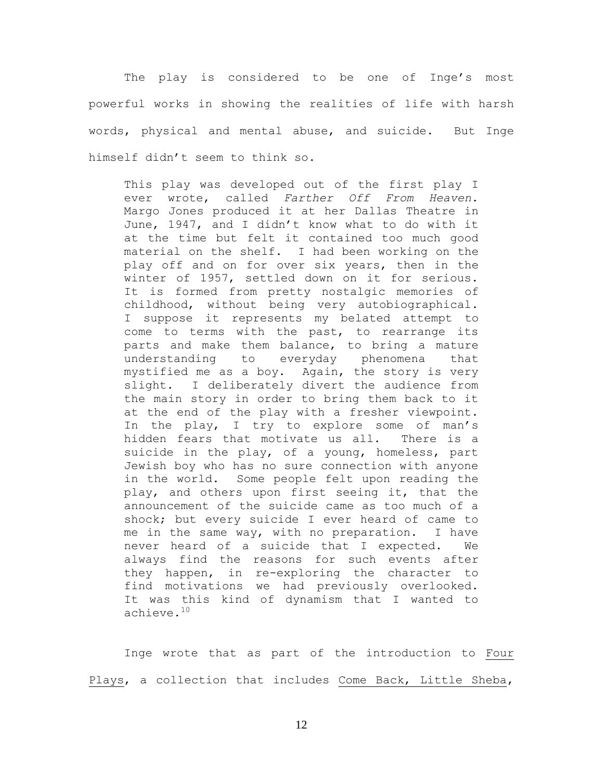The play is considered to be one of Inge's most powerful works in showing the realities of life with harsh words, physical and mental abuse, and suicide. But Inge himself didn't seem to think so.

This play was developed out of the first play I ever wrote, called *Farther Off From Heaven*. Margo Jones produced it at her Dallas Theatre in June, 1947, and I didn't know what to do with it at the time but felt it contained too much good material on the shelf. I had been working on the play off and on for over six years, then in the winter of 1957, settled down on it for serious. It is formed from pretty nostalgic memories of childhood, without being very autobiographical. I suppose it represents my belated attempt to come to terms with the past, to rearrange its parts and make them balance, to bring a mature understanding to everyday phenomena that mystified me as a boy. Again, the story is very slight. I deliberately divert the audience from the main story in order to bring them back to it at the end of the play with a fresher viewpoint. In the play, I try to explore some of man's hidden fears that motivate us all. There is a suicide in the play, of a young, homeless, part Jewish boy who has no sure connection with anyone in the world. Some people felt upon reading the play, and others upon first seeing it, that the announcement of the suicide came as too much of a shock; but every suicide I ever heard of came to me in the same way, with no preparation. I have never heard of a suicide that I expected. We always find the reasons for such events after they happen, in re-exploring the character to find motivations we had previously overlooked. It was this kind of dynamism that I wanted to achieve.<sup>10</sup>

Inge wrote that as part of the introduction to Four Plays, a collection that includes Come Back, Little Sheba,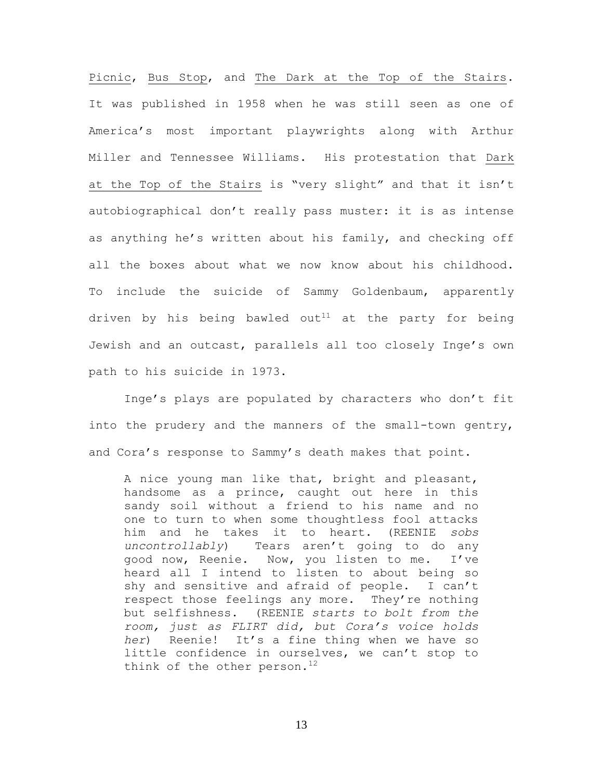Picnic, Bus Stop, and The Dark at the Top of the Stairs. It was published in 1958 when he was still seen as one of America's most important playwrights along with Arthur Miller and Tennessee Williams. His protestation that Dark at the Top of the Stairs is "very slight" and that it isn't autobiographical don't really pass muster: it is as intense as anything he's written about his family, and checking off all the boxes about what we now know about his childhood. To include the suicide of Sammy Goldenbaum, apparently driven by his being bawled out<sup>11</sup> at the party for being Jewish and an outcast, parallels all too closely Inge's own path to his suicide in 1973.

Inge's plays are populated by characters who don't fit into the prudery and the manners of the small-town gentry, and Cora's response to Sammy's death makes that point.

A nice young man like that, bright and pleasant, handsome as a prince, caught out here in this sandy soil without a friend to his name and no one to turn to when some thoughtless fool attacks him and he takes it to heart. (REENIE *sobs uncontrollably*) Tears aren't going to do any good now, Reenie. Now, you listen to me. I've heard all I intend to listen to about being so shy and sensitive and afraid of people. I can't respect those feelings any more. They're nothing but selfishness. (REENIE *starts to bolt from the room, just as FLIRT did, but Cora's voice holds her*) Reenie! It's a fine thing when we have so little confidence in ourselves, we can't stop to think of the other person.<sup>12</sup>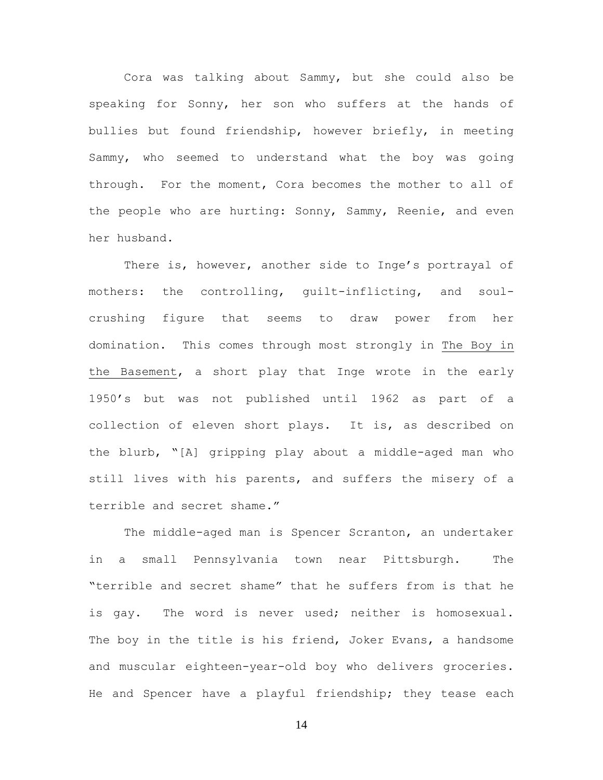Cora was talking about Sammy, but she could also be speaking for Sonny, her son who suffers at the hands of bullies but found friendship, however briefly, in meeting Sammy, who seemed to understand what the boy was going through. For the moment, Cora becomes the mother to all of the people who are hurting: Sonny, Sammy, Reenie, and even her husband.

There is, however, another side to Inge's portrayal of mothers: the controlling, guilt-inflicting, and soulcrushing figure that seems to draw power from her domination. This comes through most strongly in The Boy in the Basement, a short play that Inge wrote in the early 1950's but was not published until 1962 as part of a collection of eleven short plays. It is, as described on the blurb, "[A] gripping play about a middle-aged man who still lives with his parents, and suffers the misery of a terrible and secret shame."

The middle-aged man is Spencer Scranton, an undertaker in a small Pennsylvania town near Pittsburgh. The "terrible and secret shame" that he suffers from is that he is gay. The word is never used; neither is homosexual. The boy in the title is his friend, Joker Evans, a handsome and muscular eighteen-year-old boy who delivers groceries. He and Spencer have a playful friendship; they tease each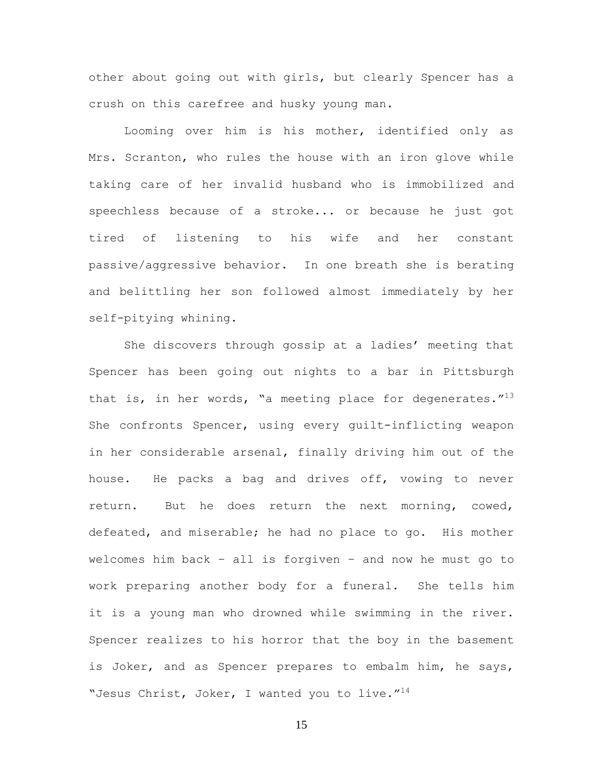other about going out with girls, but clearly Spencer has a crush on this carefree and husky young man.

Looming over him is his mother, identified only as Mrs. Scranton, who rules the house with an iron glove while taking care of her invalid husband who is immobilized and speechless because of a stroke... or because he just got tired of listening to his wife and her constant passive/aggressive behavior. In one breath she is berating and belittling her son followed almost immediately by her self-pitying whining.

She discovers through gossip at a ladies' meeting that Spencer has been going out nights to a bar in Pittsburgh that is, in her words, "a meeting place for degenerates." $^{13}$ She confronts Spencer, using every guilt-inflicting weapon in her considerable arsenal, finally driving him out of the house. He packs a bag and drives off, vowing to never return. But he does return the next morning, cowed, defeated, and miserable; he had no place to go. His mother welcomes him back – all is forgiven – and now he must go to work preparing another body for a funeral. She tells him it is a young man who drowned while swimming in the river. Spencer realizes to his horror that the boy in the basement is Joker, and as Spencer prepares to embalm him, he says, "Jesus Christ, Joker, I wanted you to live."<sup>14</sup>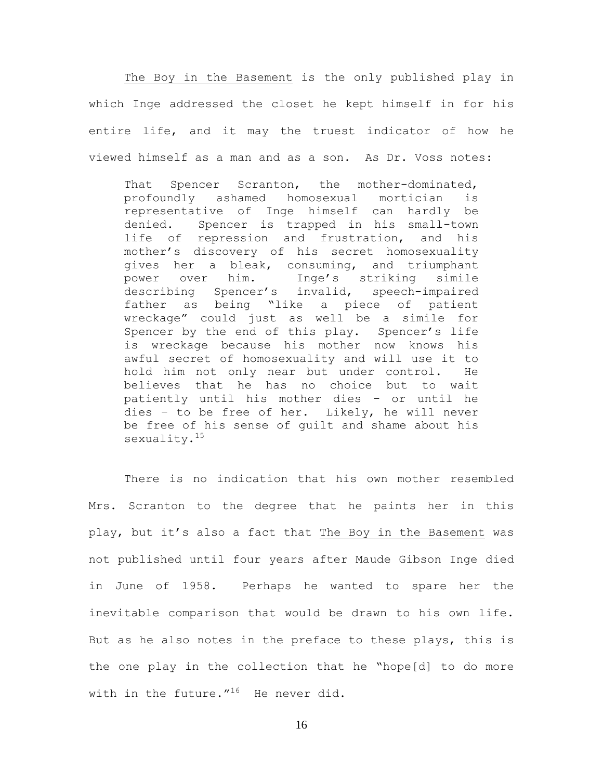The Boy in the Basement is the only published play in which Inge addressed the closet he kept himself in for his entire life, and it may the truest indicator of how he viewed himself as a man and as a son. As Dr. Voss notes:

That Spencer Scranton, the mother-dominated, profoundly ashamed homosexual mortician is representative of Inge himself can hardly be denied. Spencer is trapped in his small-town life of repression and frustration, and his mother's discovery of his secret homosexuality gives her a bleak, consuming, and triumphant power over him. Inge's striking simile describing Spencer's invalid, speech-impaired father as being "like a piece of patient wreckage" could just as well be a simile for Spencer by the end of this play. Spencer's life is wreckage because his mother now knows his awful secret of homosexuality and will use it to hold him not only near but under control. He believes that he has no choice but to wait patiently until his mother dies – or until he dies – to be free of her. Likely, he will never be free of his sense of guilt and shame about his sexuality.<sup>15</sup>

There is no indication that his own mother resembled Mrs. Scranton to the degree that he paints her in this play, but it's also a fact that The Boy in the Basement was not published until four years after Maude Gibson Inge died in June of 1958. Perhaps he wanted to spare her the inevitable comparison that would be drawn to his own life. But as he also notes in the preface to these plays, this is the one play in the collection that he "hope[d] to do more with in the future."<sup>16</sup> He never did.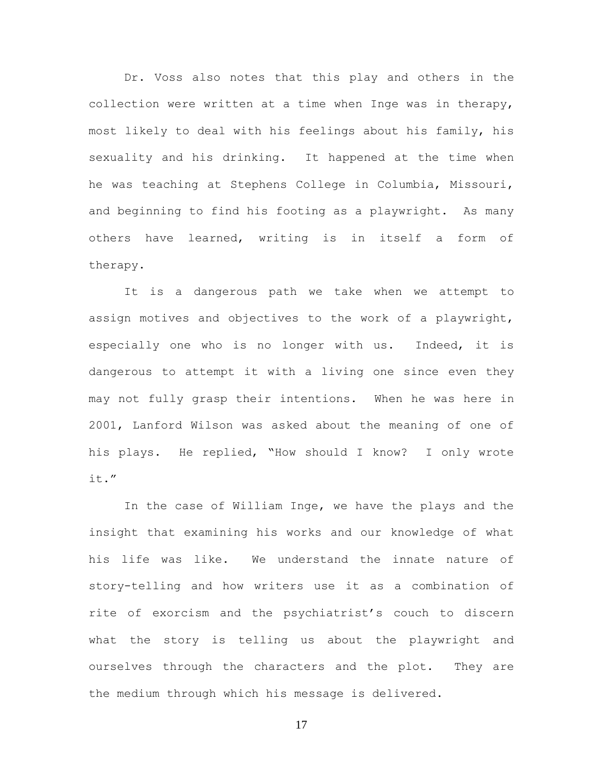Dr. Voss also notes that this play and others in the collection were written at a time when Inge was in therapy, most likely to deal with his feelings about his family, his sexuality and his drinking. It happened at the time when he was teaching at Stephens College in Columbia, Missouri, and beginning to find his footing as a playwright. As many others have learned, writing is in itself a form of therapy.

It is a dangerous path we take when we attempt to assign motives and objectives to the work of a playwright, especially one who is no longer with us. Indeed, it is dangerous to attempt it with a living one since even they may not fully grasp their intentions. When he was here in 2001, Lanford Wilson was asked about the meaning of one of his plays. He replied, "How should I know? I only wrote it."

In the case of William Inge, we have the plays and the insight that examining his works and our knowledge of what his life was like. We understand the innate nature of story-telling and how writers use it as a combination of rite of exorcism and the psychiatrist's couch to discern what the story is telling us about the playwright and ourselves through the characters and the plot. They are the medium through which his message is delivered.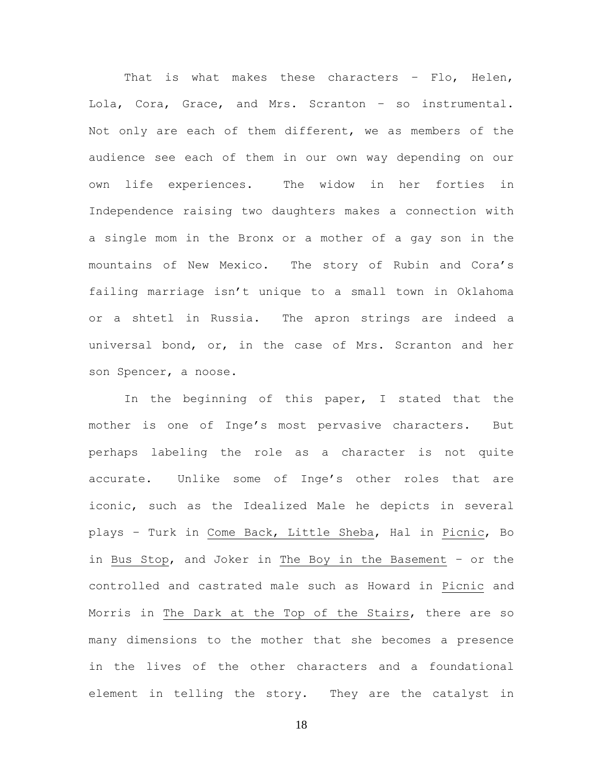That is what makes these characters - Flo, Helen, Lola, Cora, Grace, and Mrs. Scranton – so instrumental. Not only are each of them different, we as members of the audience see each of them in our own way depending on our own life experiences. The widow in her forties in Independence raising two daughters makes a connection with a single mom in the Bronx or a mother of a gay son in the mountains of New Mexico. The story of Rubin and Cora's failing marriage isn't unique to a small town in Oklahoma or a shtetl in Russia. The apron strings are indeed a universal bond, or, in the case of Mrs. Scranton and her son Spencer, a noose.

In the beginning of this paper, I stated that the mother is one of Inge's most pervasive characters. But perhaps labeling the role as a character is not quite accurate. Unlike some of Inge's other roles that are iconic, such as the Idealized Male he depicts in several plays – Turk in Come Back, Little Sheba, Hal in Picnic, Bo in Bus Stop, and Joker in The Boy in the Basement – or the controlled and castrated male such as Howard in Picnic and Morris in The Dark at the Top of the Stairs, there are so many dimensions to the mother that she becomes a presence in the lives of the other characters and a foundational element in telling the story. They are the catalyst in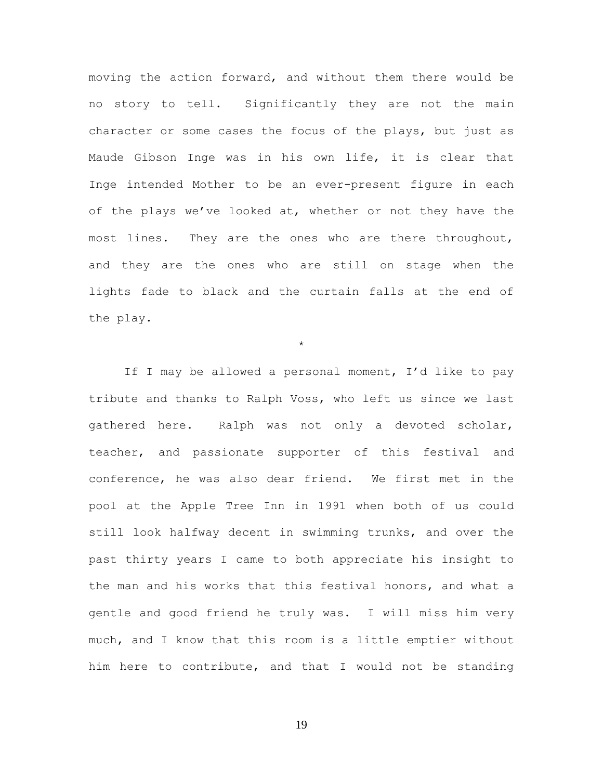moving the action forward, and without them there would be no story to tell. Significantly they are not the main character or some cases the focus of the plays, but just as Maude Gibson Inge was in his own life, it is clear that Inge intended Mother to be an ever-present figure in each of the plays we've looked at, whether or not they have the most lines. They are the ones who are there throughout, and they are the ones who are still on stage when the lights fade to black and the curtain falls at the end of the play.

\*

If I may be allowed a personal moment, I'd like to pay tribute and thanks to Ralph Voss, who left us since we last gathered here. Ralph was not only a devoted scholar, teacher, and passionate supporter of this festival and conference, he was also dear friend. We first met in the pool at the Apple Tree Inn in 1991 when both of us could still look halfway decent in swimming trunks, and over the past thirty years I came to both appreciate his insight to the man and his works that this festival honors, and what a gentle and good friend he truly was. I will miss him very much, and I know that this room is a little emptier without him here to contribute, and that I would not be standing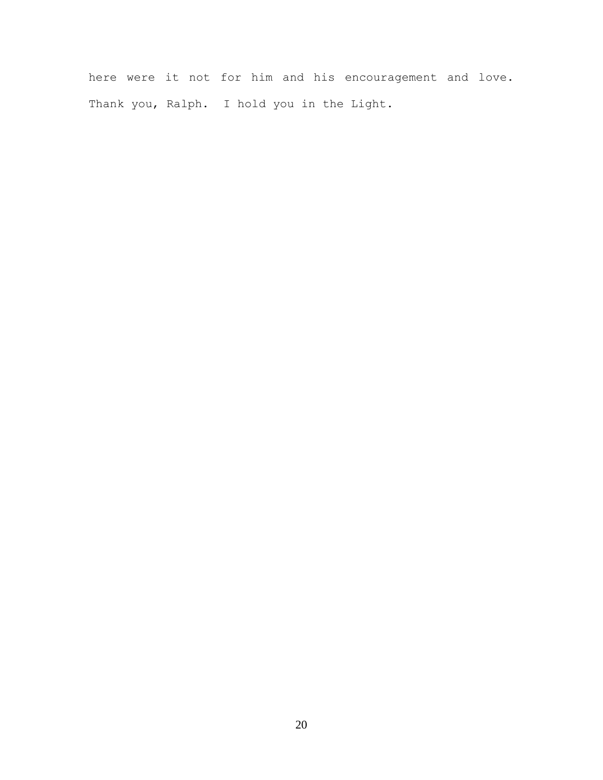here were it not for him and his encouragement and love. Thank you, Ralph. I hold you in the Light.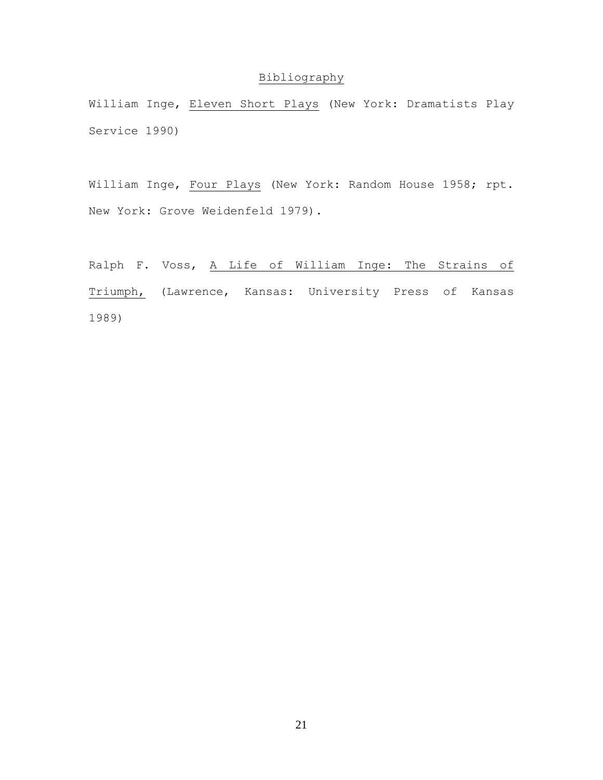## Bibliography

William Inge, Eleven Short Plays (New York: Dramatists Play Service 1990)

William Inge, Four Plays (New York: Random House 1958; rpt. New York: Grove Weidenfeld 1979).

Ralph F. Voss, A Life of William Inge: The Strains of Triumph, (Lawrence, Kansas: University Press of Kansas 1989)